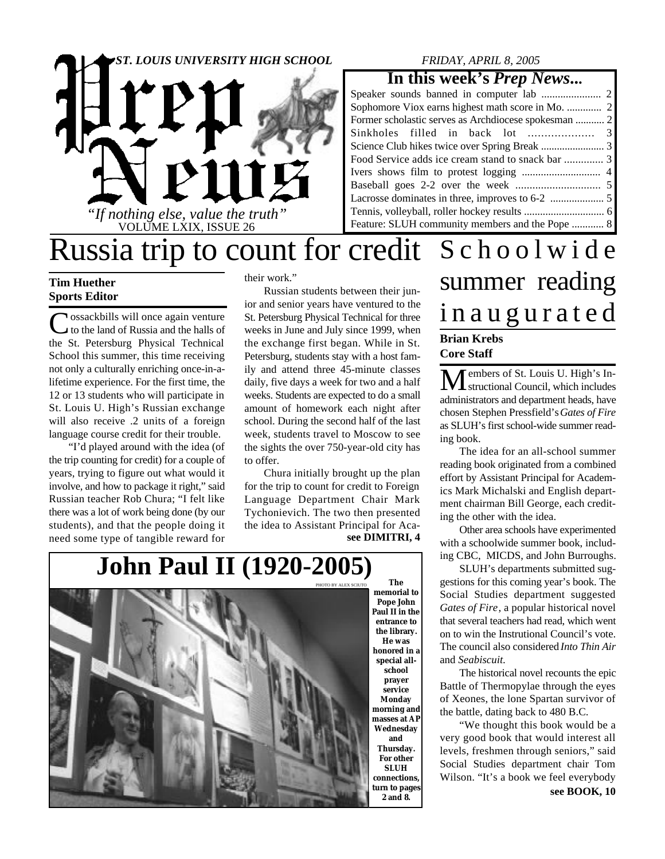

### *FRIDAY, APRIL 8, 2005*

### **In this week's** *Prep News***...**

| Former scholastic serves as Archdiocese spokesman  2 |  |
|------------------------------------------------------|--|
|                                                      |  |
|                                                      |  |
| Food Service adds ice cream stand to snack bar  3    |  |
|                                                      |  |
|                                                      |  |
|                                                      |  |
|                                                      |  |
| Feature: SLUH community members and the Pope  8      |  |

## Russia trip to count for credit Schoolwide

### **Tim Huether Sports Editor**

C ossackbills will once again venture<br>to the land of Russia and the halls of to the land of Russia and the halls of the St. Petersburg Physical Technical School this summer, this time receiving not only a culturally enriching once-in-alifetime experience. For the first time, the 12 or 13 students who will participate in St. Louis U. High's Russian exchange will also receive .2 units of a foreign language course credit for their trouble.

"I'd played around with the idea (of the trip counting for credit) for a couple of years, trying to figure out what would it involve, and how to package it right," said Russian teacher Rob Chura; "I felt like there was a lot of work being done (by our students), and that the people doing it need some type of tangible reward for

their work."

Russian students between their junior and senior years have ventured to the St. Petersburg Physical Technical for three weeks in June and July since 1999, when the exchange first began. While in St. Petersburg, students stay with a host family and attend three 45-minute classes daily, five days a week for two and a half weeks. Students are expected to do a small amount of homework each night after school. During the second half of the last week, students travel to Moscow to see the sights the over 750-year-old city has to offer.

**see DIMITRI, 4** Chura initially brought up the plan for the trip to count for credit to Foreign Language Department Chair Mark Tychonievich. The two then presented the idea to Assistant Principal for Aca-



**memorial to Pope John Paul II in the entrance to the library. He was honored in a special allschool prayer service Monday morning and masses at AP Wednesday and Thursday. For other SLUH connections, turn to pages 2 and 8.**

# summer reading i n a u g u r a t e d

### **Brian Krebs Core Staff**

 $\mathbf M$ embers of St. Louis U. High's Inadministrators and department heads, have chosen Stephen Pressfield's *Gates of Fire* as SLUH's first school-wide summer reading book.

The idea for an all-school summer reading book originated from a combined effort by Assistant Principal for Academics Mark Michalski and English department chairman Bill George, each crediting the other with the idea.

Other area schools have experimented with a schoolwide summer book, including CBC, MICDS, and John Burroughs.

SLUH's departments submitted suggestions for this coming year's book. The Social Studies department suggested *Gates of Fire*, a popular historical novel that several teachers had read, which went on to win the Instrutional Council's vote. The council also considered *Into Thin Air* and *Seabiscuit*.

The historical novel recounts the epic Battle of Thermopylae through the eyes of Xeones, the lone Spartan survivor of the battle, dating back to 480 B.C.

"We thought this book would be a very good book that would interest all levels, freshmen through seniors," said Social Studies department chair Tom Wilson. "It's a book we feel everybody **see BOOK, 10**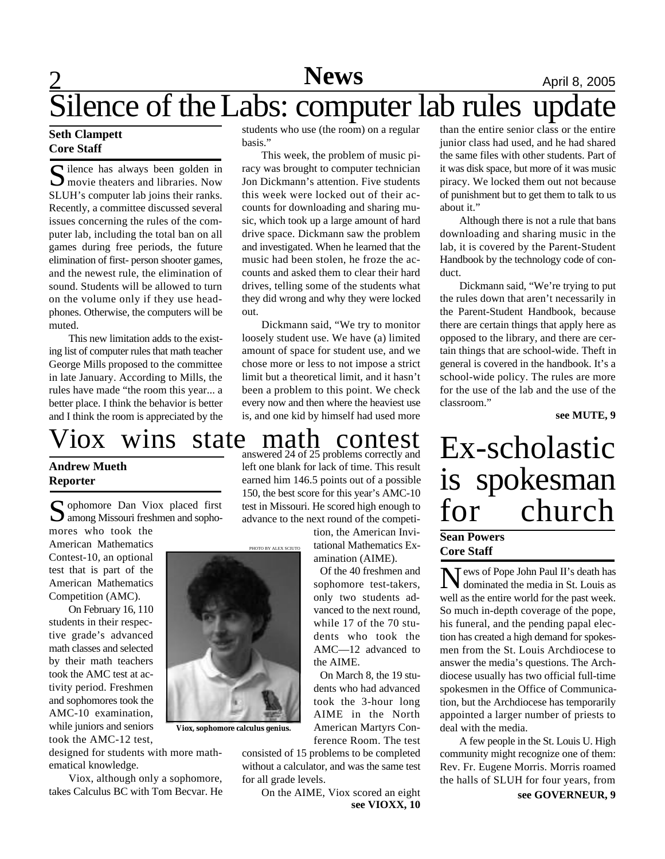## **News** April 8, 2005 Silence of the Labs: computer lab rules update

### **Seth Clampett Core Staff**

S ilence has always been golden in<br>
Solution the enters and libraries. Now  $\sum$  movie theaters and libraries. Now SLUH's computer lab joins their ranks. Recently, a committee discussed several issues concerning the rules of the computer lab, including the total ban on all games during free periods, the future elimination of first- person shooter games, and the newest rule, the elimination of sound. Students will be allowed to turn on the volume only if they use headphones. Otherwise, the computers will be muted.

This new limitation adds to the existing list of computer rules that math teacher George Mills proposed to the committee in late January. According to Mills, the rules have made "the room this year... a better place. I think the behavior is better and I think the room is appreciated by the

Viox wins state math contest Ex-scholastic

### **Andrew Mueth Reporter**

S ophomore Dan Viox placed first<br>among Missouri freshmen and sopho-**D** among Missouri freshmen and sopho-

mores who took the American Mathematics Contest-10, an optional test that is part of the American Mathematics Competition (AMC).

On February 16, 110 students in their respective grade's advanced math classes and selected by their math teachers took the AMC test at activity period. Freshmen and sophomores took the AMC-10 examination, while juniors and seniors took the AMC-12 test,

designed for students with more mathematical knowledge.

Viox, although only a sophomore, takes Calculus BC with Tom Becvar. He students who use (the room) on a regular basis."

This week, the problem of music piracy was brought to computer technician Jon Dickmann's attention. Five students this week were locked out of their accounts for downloading and sharing music, which took up a large amount of hard drive space. Dickmann saw the problem and investigated. When he learned that the music had been stolen, he froze the accounts and asked them to clear their hard drives, telling some of the students what they did wrong and why they were locked out.

Dickmann said, "We try to monitor loosely student use. We have (a) limited amount of space for student use, and we chose more or less to not impose a strict limit but a theoretical limit, and it hasn't been a problem to this point. We check every now and then where the heaviest use is, and one kid by himself had used more

answered 24 of 25 problems correctly and left one blank for lack of time. This result earned him 146.5 points out of a possible 150, the best score for this year's AMC-10 test in Missouri. He scored high enough to advance to the next round of the competi-

> tion, the American Invitational Mathematics Examination (AIME).

> Of the 40 freshmen and sophomore test-takers, only two students advanced to the next round, while 17 of the 70 students who took the AMC—12 advanced to the AIME.

On March 8, the 19 students who had advanced took the 3-hour long AIME in the North American Martyrs Conference Room. The test

consisted of 15 problems to be completed without a calculator, and was the same test for all grade levels.

**see VIOXX, 10** On the AIME, Viox scored an eight

than the entire senior class or the entire junior class had used, and he had shared the same files with other students. Part of it was disk space, but more of it was music piracy. We locked them out not because of punishment but to get them to talk to us about it."

Although there is not a rule that bans downloading and sharing music in the lab, it is covered by the Parent-Student Handbook by the technology code of conduct.

Dickmann said, "We're trying to put the rules down that aren't necessarily in the Parent-Student Handbook, because there are certain things that apply here as opposed to the library, and there are certain things that are school-wide. Theft in general is covered in the handbook. It's a school-wide policy. The rules are more for the use of the lab and the use of the classroom."

**see MUTE, 9**

# is spokesman for church

### **Sean Powers Core Staff**

News of Pope John Paul II's death has<br>dominated the media in St. Louis as dominated the media in St. Louis as well as the entire world for the past week. So much in-depth coverage of the pope, his funeral, and the pending papal election has created a high demand for spokesmen from the St. Louis Archdiocese to answer the media's questions. The Archdiocese usually has two official full-time spokesmen in the Office of Communication, but the Archdiocese has temporarily appointed a larger number of priests to deal with the media.

A few people in the St. Louis U. High community might recognize one of them: Rev. Fr. Eugene Morris. Morris roamed the halls of SLUH for four years, from

**see GOVERNEUR, 9**

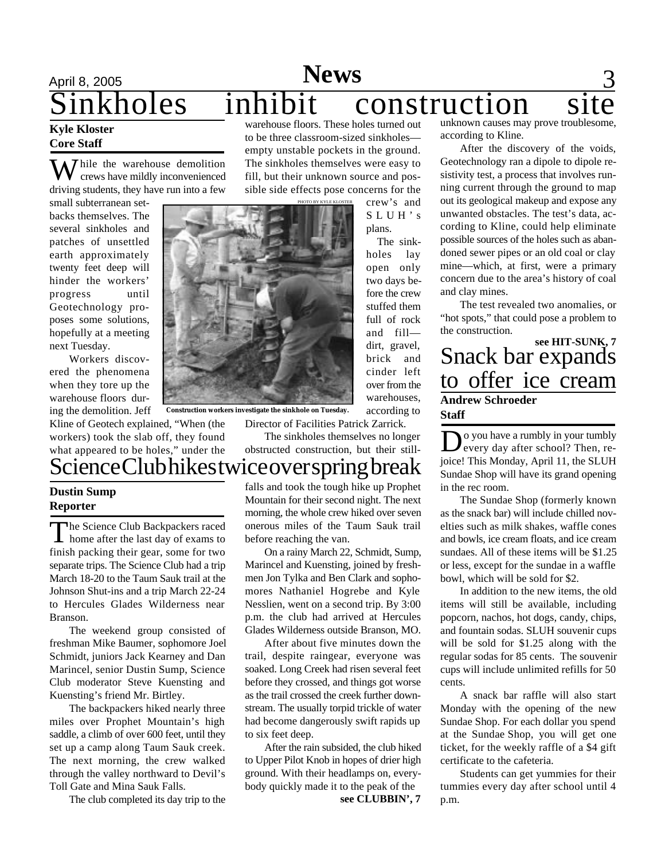### April 8, 2005 **News** 3 inkholes inhibit construction warehouse floors. These holes turned out unknown causes may prove troublesome,

#### **Kyle Kloster Core Staff**

 $\sum$  hile the warehouse demolition crews have mildly inconvenienced driving students, they have run into a few

small subterranean setbacks themselves. The several sinkholes and patches of unsettled earth approximately twenty feet deep will hinder the workers' progress until Geotechnology proposes some solutions, hopefully at a meeting next Tuesday.

Workers discovered the phenomena when they tore up the warehouse floors during the demolition. Jeff

Kline of Geotech explained, "When (the workers) took the slab off, they found what appeared to be holes," under the

# Science Club hikes twice over spring break

### **Dustin Sump Reporter**

The Science Club Backpackers raced<br>home after the last day of exams to home after the last day of exams to finish packing their gear, some for two separate trips. The Science Club had a trip March 18-20 to the Taum Sauk trail at the Johnson Shut-ins and a trip March 22-24 to Hercules Glades Wilderness near Branson.

The weekend group consisted of freshman Mike Baumer, sophomore Joel Schmidt, juniors Jack Kearney and Dan Marincel, senior Dustin Sump, Science Club moderator Steve Kuensting and Kuensting's friend Mr. Birtley.

The backpackers hiked nearly three miles over Prophet Mountain's high saddle, a climb of over 600 feet, until they set up a camp along Taum Sauk creek. The next morning, the crew walked through the valley northward to Devil's Toll Gate and Mina Sauk Falls.

The club completed its day trip to the

to be three classroom-sized sinkholes empty unstable pockets in the ground. The sinkholes themselves were easy to fill, but their unknown source and possible side effects pose concerns for the

> crew's and S L U H ' s plans.

The sinkholes lay open only two days before the crew stuffed them full of rock and fill dirt, gravel, brick and cinder left over from the warehouses, according to

according to Kline.

After the discovery of the voids, Geotechnology ran a dipole to dipole resistivity test, a process that involves running current through the ground to map out its geological makeup and expose any unwanted obstacles. The test's data, according to Kline, could help eliminate possible sources of the holes such as abandoned sewer pipes or an old coal or clay mine—which, at first, were a primary concern due to the area's history of coal and clay mines.

The test revealed two anomalies, or "hot spots," that could pose a problem to the construction.

Snack bar expands to offer ice cream **Andrew Schroeder Staff see HIT-SUNK, 7**

Do you have a rumbly in your tumbly<br>every day after school? Then, reo you have a rumbly in your tumbly joice! This Monday, April 11, the SLUH Sundae Shop will have its grand opening in the rec room.

The Sundae Shop (formerly known as the snack bar) will include chilled novelties such as milk shakes, waffle cones and bowls, ice cream floats, and ice cream sundaes. All of these items will be \$1.25 or less, except for the sundae in a waffle bowl, which will be sold for \$2.

In addition to the new items, the old items will still be available, including popcorn, nachos, hot dogs, candy, chips, and fountain sodas. SLUH souvenir cups will be sold for \$1.25 along with the regular sodas for 85 cents. The souvenir cups will include unlimited refills for 50 cents.

A snack bar raffle will also start Monday with the opening of the new Sundae Shop. For each dollar you spend at the Sundae Shop, you will get one ticket, for the weekly raffle of a \$4 gift certificate to the cafeteria.

Students can get yummies for their tummies every day after school until 4 p.m.



**Construction workers investigate the sinkhole on Tuesday.**

before reaching the van.

to six feet deep.

Director of Facilities Patrick Zarrick.

The sinkholes themselves no longer obstructed construction, but their still-

falls and took the tough hike up Prophet Mountain for their second night. The next morning, the whole crew hiked over seven onerous miles of the Taum Sauk trail

On a rainy March 22, Schmidt, Sump, Marincel and Kuensting, joined by freshmen Jon Tylka and Ben Clark and sophomores Nathaniel Hogrebe and Kyle Nesslien, went on a second trip. By 3:00 p.m. the club had arrived at Hercules Glades Wilderness outside Branson, MO. After about five minutes down the trail, despite raingear, everyone was soaked. Long Creek had risen several feet before they crossed, and things got worse as the trail crossed the creek further downstream. The usually torpid trickle of water had become dangerously swift rapids up

After the rain subsided, the club hiked to Upper Pilot Knob in hopes of drier high ground. With their headlamps on, everybody quickly made it to the peak of the

**see CLUBBIN', 7**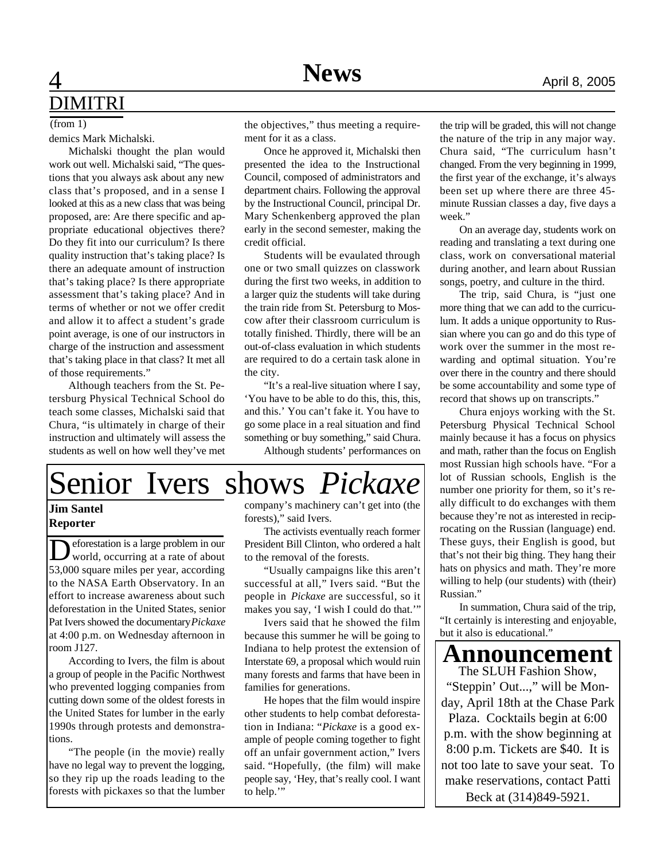## **4 News** April 8, 2005 DIMITRI

### $(from 1)$

demics Mark Michalski.

Michalski thought the plan would work out well. Michalski said, "The questions that you always ask about any new class that's proposed, and in a sense I looked at this as a new class that was being proposed, are: Are there specific and appropriate educational objectives there? Do they fit into our curriculum? Is there quality instruction that's taking place? Is there an adequate amount of instruction that's taking place? Is there appropriate assessment that's taking place? And in terms of whether or not we offer credit and allow it to affect a student's grade point average, is one of our instructors in charge of the instruction and assessment that's taking place in that class? It met all of those requirements."

Although teachers from the St. Petersburg Physical Technical School do teach some classes, Michalski said that Chura, "is ultimately in charge of their instruction and ultimately will assess the students as well on how well they've met the objectives," thus meeting a requirement for it as a class.

Once he approved it, Michalski then presented the idea to the Instructional Council, composed of administrators and department chairs. Following the approval by the Instructional Council, principal Dr. Mary Schenkenberg approved the plan early in the second semester, making the credit official.

Students will be evaulated through one or two small quizzes on classwork during the first two weeks, in addition to a larger quiz the students will take during the train ride from St. Petersburg to Moscow after their classroom curriculum is totally finished. Thirdly, there will be an out-of-class evaluation in which students are required to do a certain task alone in the city.

"It's a real-live situation where I say, 'You have to be able to do this, this, this, and this.' You can't fake it. You have to go some place in a real situation and find something or buy something," said Chura. Although students' performances on



### **Jim Santel Reporter**

D eforestation is a large problem in our world, occurring at a rate of about 53,000 square miles per year, according to the NASA Earth Observatory. In an effort to increase awareness about such deforestation in the United States, senior Pat Ivers showed the documentary *Pickaxe* at 4:00 p.m. on Wednesday afternoon in room J127.

According to Ivers, the film is about a group of people in the Pacific Northwest who prevented logging companies from cutting down some of the oldest forests in the United States for lumber in the early 1990s through protests and demonstrations.

"The people (in the movie) really have no legal way to prevent the logging, so they rip up the roads leading to the forests with pickaxes so that the lumber

company's machinery can't get into (the forests)," said Ivers.

The activists eventually reach former President Bill Clinton, who ordered a halt to the removal of the forests.

"Usually campaigns like this aren't successful at all," Ivers said. "But the people in *Pickaxe* are successful, so it makes you say, 'I wish I could do that.'"

Ivers said that he showed the film because this summer he will be going to Indiana to help protest the extension of Interstate 69, a proposal which would ruin many forests and farms that have been in families for generations.

He hopes that the film would inspire other students to help combat deforestation in Indiana: "*Pickaxe* is a good example of people coming together to fight off an unfair government action," Ivers said. "Hopefully, (the film) will make people say, 'Hey, that's really cool. I want to help.'"

the trip will be graded, this will not change the nature of the trip in any major way. Chura said, "The curriculum hasn't changed. From the very beginning in 1999, the first year of the exchange, it's always been set up where there are three 45 minute Russian classes a day, five days a week."

On an average day, students work on reading and translating a text during one class, work on conversational material during another, and learn about Russian songs, poetry, and culture in the third.

The trip, said Chura, is "just one more thing that we can add to the curriculum. It adds a unique opportunity to Russian where you can go and do this type of work over the summer in the most rewarding and optimal situation. You're over there in the country and there should be some accountability and some type of record that shows up on transcripts."

Chura enjoys working with the St. Petersburg Physical Technical School mainly because it has a focus on physics and math, rather than the focus on English most Russian high schools have. "For a lot of Russian schools, English is the number one priority for them, so it's really difficult to do exchanges with them because they're not as interested in reciprocating on the Russian (language) end. These guys, their English is good, but that's not their big thing. They hang their hats on physics and math. They're more willing to help (our students) with (their) Russian."

In summation, Chura said of the trip, "It certainly is interesting and enjoyable, but it also is educational."

**Announcement**

The SLUH Fashion Show, "Steppin' Out...," will be Monday, April 18th at the Chase Park Plaza. Cocktails begin at 6:00 p.m. with the show beginning at 8:00 p.m. Tickets are \$40. It is not too late to save your seat. To make reservations, contact Patti Beck at (314)849-5921.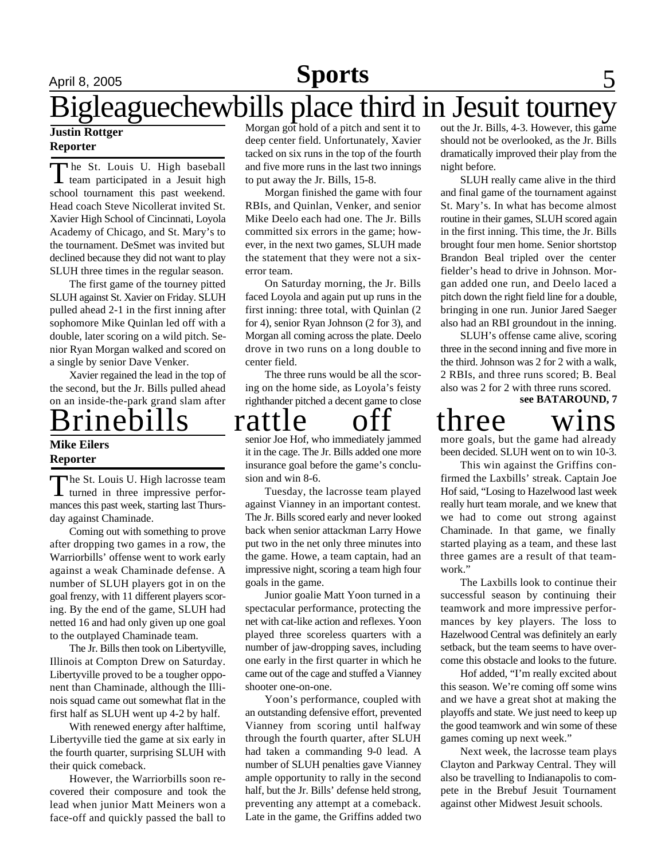### April 8, 2005 **Sports** 5 **Sports**

# Bigleaguechewbills place third in Jesuit tourney

### **Justin Rottger Reporter**

The St. Louis U. High baseball<br>team participated in a Jesuit high he St. Louis U. High baseball school tournament this past weekend. Head coach Steve Nicollerat invited St. Xavier High School of Cincinnati, Loyola Academy of Chicago, and St. Mary's to the tournament. DeSmet was invited but declined because they did not want to play SLUH three times in the regular season.

The first game of the tourney pitted SLUH against St. Xavier on Friday. SLUH pulled ahead 2-1 in the first inning after sophomore Mike Quinlan led off with a double, later scoring on a wild pitch. Senior Ryan Morgan walked and scored on a single by senior Dave Venker.

Xavier regained the lead in the top of the second, but the Jr. Bills pulled ahead on an inside-the-park grand slam after

### Brinebills rattle off three wins **Mike Eilers**

### **Reporter**

The St. Louis U. High lacrosse team<br>turned in three impressive perfor-The St. Louis U. High lacrosse team mances this past week, starting last Thursday against Chaminade.

Coming out with something to prove after dropping two games in a row, the Warriorbills' offense went to work early against a weak Chaminade defense. A number of SLUH players got in on the goal frenzy, with 11 different players scoring. By the end of the game, SLUH had netted 16 and had only given up one goal to the outplayed Chaminade team.

The Jr. Bills then took on Libertyville, Illinois at Compton Drew on Saturday. Libertyville proved to be a tougher opponent than Chaminade, although the Illinois squad came out somewhat flat in the first half as SLUH went up 4-2 by half.

With renewed energy after halftime, Libertyville tied the game at six early in the fourth quarter, surprising SLUH with their quick comeback.

However, the Warriorbills soon recovered their composure and took the lead when junior Matt Meiners won a face-off and quickly passed the ball to

Morgan got hold of a pitch and sent it to deep center field. Unfortunately, Xavier tacked on six runs in the top of the fourth and five more runs in the last two innings to put away the Jr. Bills, 15-8.

Morgan finished the game with four RBIs, and Quinlan, Venker, and senior Mike Deelo each had one. The Jr. Bills committed six errors in the game; however, in the next two games, SLUH made the statement that they were not a sixerror team.

On Saturday morning, the Jr. Bills faced Loyola and again put up runs in the first inning: three total, with Quinlan (2 for 4), senior Ryan Johnson (2 for 3), and Morgan all coming across the plate. Deelo drove in two runs on a long double to center field.

The three runs would be all the scoring on the home side, as Loyola's feisty righthander pitched a decent game to close

senior Joe Hof, who immediately jammed it in the cage. The Jr. Bills added one more insurance goal before the game's conclusion and win 8-6.

Tuesday, the lacrosse team played against Vianney in an important contest. The Jr. Bills scored early and never looked back when senior attackman Larry Howe put two in the net only three minutes into the game. Howe, a team captain, had an impressive night, scoring a team high four goals in the game.

Junior goalie Matt Yoon turned in a spectacular performance, protecting the net with cat-like action and reflexes. Yoon played three scoreless quarters with a number of jaw-dropping saves, including one early in the first quarter in which he came out of the cage and stuffed a Vianney shooter one-on-one.

Yoon's performance, coupled with an outstanding defensive effort, prevented Vianney from scoring until halfway through the fourth quarter, after SLUH had taken a commanding 9-0 lead. A number of SLUH penalties gave Vianney ample opportunity to rally in the second half, but the Jr. Bills' defense held strong, preventing any attempt at a comeback. Late in the game, the Griffins added two

out the Jr. Bills, 4-3. However, this game should not be overlooked, as the Jr. Bills dramatically improved their play from the night before.

SLUH really came alive in the third and final game of the tournament against St. Mary's. In what has become almost routine in their games, SLUH scored again in the first inning. This time, the Jr. Bills brought four men home. Senior shortstop Brandon Beal tripled over the center fielder's head to drive in Johnson. Morgan added one run, and Deelo laced a pitch down the right field line for a double, bringing in one run. Junior Jared Saeger also had an RBI groundout in the inning.

**see BATAROUND, 7** SLUH's offense came alive, scoring three in the second inning and five more in the third. Johnson was 2 for 2 with a walk, 2 RBIs, and three runs scored; B. Beal also was 2 for 2 with three runs scored.

more goals, but the game had already been decided. SLUH went on to win 10-3.

This win against the Griffins confirmed the Laxbills' streak. Captain Joe Hof said, "Losing to Hazelwood last week really hurt team morale, and we knew that we had to come out strong against Chaminade. In that game, we finally started playing as a team, and these last three games are a result of that teamwork."

The Laxbills look to continue their successful season by continuing their teamwork and more impressive performances by key players. The loss to Hazelwood Central was definitely an early setback, but the team seems to have overcome this obstacle and looks to the future.

Hof added, "I'm really excited about this season. We're coming off some wins and we have a great shot at making the playoffs and state. We just need to keep up the good teamwork and win some of these games coming up next week."

Next week, the lacrosse team plays Clayton and Parkway Central. They will also be travelling to Indianapolis to compete in the Brebuf Jesuit Tournament against other Midwest Jesuit schools.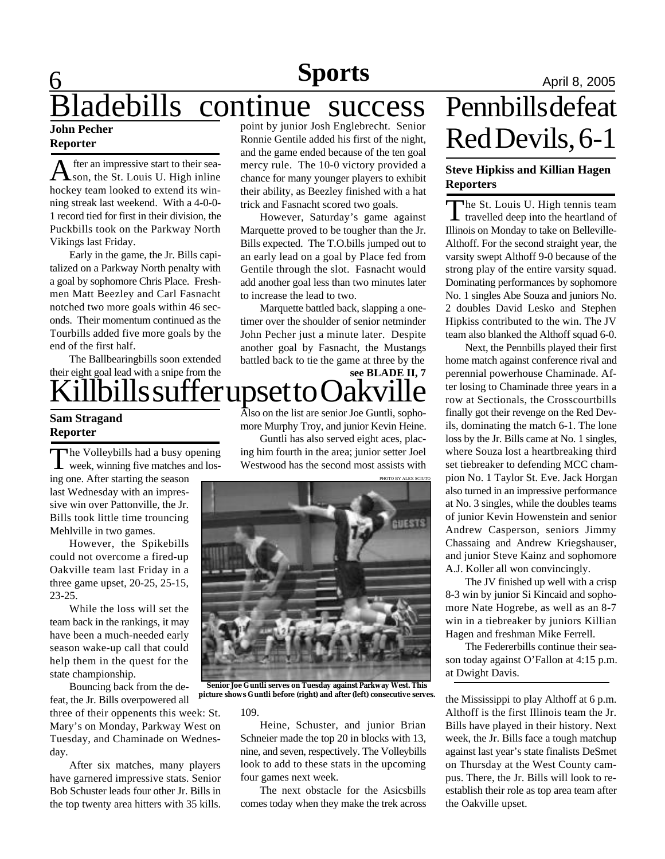## **6 News Sports April 8, 2005** Bladebills continue success

#### **John Pecher Reporter**

A fter an impressive start to their sea-<br>hockey team looked to extend its winfter an impressive start to their season, the St. Louis U. High inline ning streak last weekend. With a 4-0-0- 1 record tied for first in their division, the Puckbills took on the Parkway North Vikings last Friday.

Early in the game, the Jr. Bills capitalized on a Parkway North penalty with a goal by sophomore Chris Place. Freshmen Matt Beezley and Carl Fasnacht notched two more goals within 46 seconds. Their momentum continued as the Tourbills added five more goals by the end of the first half.

The Ballbearingbills soon extended their eight goal lead with a snipe from the

### **Sam Stragand Reporter**

The Volleybills had a busy opening<br>week, winning five matches and los-The Volleybills had a busy opening

ing one. After starting the season last Wednesday with an impressive win over Pattonville, the Jr. Bills took little time trouncing Mehlville in two games.

However, the Spikebills could not overcome a fired-up Oakville team last Friday in a three game upset, 20-25, 25-15, 23-25.

While the loss will set the team back in the rankings, it may have been a much-needed early season wake-up call that could help them in the quest for the state championship.

Bouncing back from the defeat, the Jr. Bills overpowered all

three of their oppenents this week: St. Mary's on Monday, Parkway West on Tuesday, and Chaminade on Wednesday.

After six matches, many players have garnered impressive stats. Senior Bob Schuster leads four other Jr. Bills in the top twenty area hitters with 35 kills. point by junior Josh Englebrecht. Senior Ronnie Gentile added his first of the night, and the game ended because of the ten goal mercy rule. The 10-0 victory provided a chance for many younger players to exhibit their ability, as Beezley finished with a hat trick and Fasnacht scored two goals.

However, Saturday's game against Marquette proved to be tougher than the Jr. Bills expected. The T.O.bills jumped out to an early lead on a goal by Place fed from Gentile through the slot. Fasnacht would add another goal less than two minutes later to increase the lead to two.

Marquette battled back, slapping a onetimer over the shoulder of senior netminder John Pecher just a minute later. Despite another goal by Fasnacht, the Mustangs battled back to tie the game at three by the

### $\mathrm{ii}$ lbills suffer upset to ( **see BLADE II, 7**

Also on the list are senior Joe Guntli, sophomore Murphy Troy, and junior Kevin Heine.

Guntli has also served eight aces, placing him fourth in the area; junior setter Joel Westwood has the second most assists with



**Senior Joe Guntli serves on Tuesday against Parkway West. This picture shows Guntli before (right) and after (left) consecutive serves.**

#### 109.

Heine, Schuster, and junior Brian Schneier made the top 20 in blocks with 13, nine, and seven, respectively. The Volleybills look to add to these stats in the upcoming four games next week.

The next obstacle for the Asicsbills comes today when they make the trek across

# Pennbills defeat Red Devils, 6-1

### **Steve Hipkiss and Killian Hagen Reporters**

The St. Louis U. High tennis team<br>travelled deep into the heartland of  $\mathsf{L}\,$  travelled deep into the heartland of Illinois on Monday to take on Belleville-Althoff. For the second straight year, the varsity swept Althoff 9-0 because of the strong play of the entire varsity squad. Dominating performances by sophomore No. 1 singles Abe Souza and juniors No. 2 doubles David Lesko and Stephen Hipkiss contributed to the win. The JV team also blanked the Althoff squad 6-0.

Next, the Pennbills played their first home match against conference rival and perennial powerhouse Chaminade. After losing to Chaminade three years in a row at Sectionals, the Crosscourtbills finally got their revenge on the Red Devils, dominating the match 6-1. The lone loss by the Jr. Bills came at No. 1 singles, where Souza lost a heartbreaking third set tiebreaker to defending MCC champion No. 1 Taylor St. Eve. Jack Horgan also turned in an impressive performance at No. 3 singles, while the doubles teams of junior Kevin Howenstein and senior Andrew Casperson, seniors Jimmy Chassaing and Andrew Kriegshauser, and junior Steve Kainz and sophomore A.J. Koller all won convincingly.

The JV finished up well with a crisp 8-3 win by junior Si Kincaid and sophomore Nate Hogrebe, as well as an 8-7 win in a tiebreaker by juniors Killian Hagen and freshman Mike Ferrell.

The Federerbills continue their season today against O'Fallon at 4:15 p.m. at Dwight Davis.

the Mississippi to play Althoff at 6 p.m. Althoff is the first Illinois team the Jr. Bills have played in their history. Next week, the Jr. Bills face a tough matchup against last year's state finalists DeSmet on Thursday at the West County campus. There, the Jr. Bills will look to reestablish their role as top area team after the Oakville upset.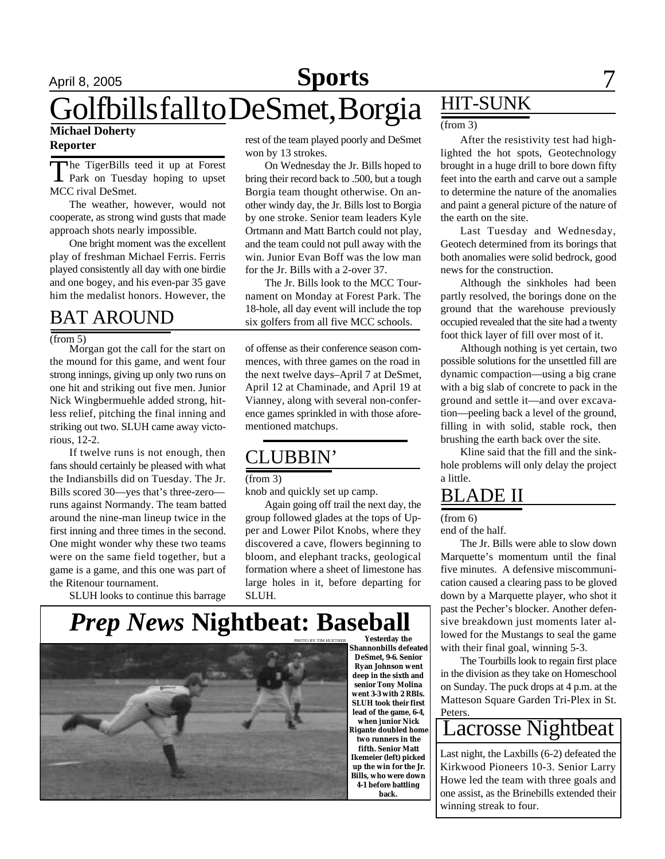## April 8, 2005 **Sports** 7 Golfbills fall to DeSmet, Borgia **Michael Doherty**

### **Reporter**

The TigerBills teed it up at Forest<br>Park on Tuesday hoping to upset he TigerBills teed it up at Forest MCC rival DeSmet.

The weather, however, would not cooperate, as strong wind gusts that made approach shots nearly impossible.

One bright moment was the excellent play of freshman Michael Ferris. Ferris played consistently all day with one birdie and one bogey, and his even-par 35 gave him the medalist honors. However, the

### BAT AROUND

#### (from 5)

Morgan got the call for the start on the mound for this game, and went four strong innings, giving up only two runs on one hit and striking out five men. Junior Nick Wingbermuehle added strong, hitless relief, pitching the final inning and striking out two. SLUH came away victorious, 12-2.

If twelve runs is not enough, then fans should certainly be pleased with what the Indiansbills did on Tuesday. The Jr. Bills scored 30—yes that's three-zero runs against Normandy. The team batted around the nine-man lineup twice in the first inning and three times in the second. One might wonder why these two teams were on the same field together, but a game is a game, and this one was part of the Ritenour tournament.

SLUH looks to continue this barrage

rest of the team played poorly and DeSmet won by 13 strokes.

On Wednesday the Jr. Bills hoped to bring their record back to .500, but a tough Borgia team thought otherwise. On another windy day, the Jr. Bills lost to Borgia by one stroke. Senior team leaders Kyle Ortmann and Matt Bartch could not play, and the team could not pull away with the win. Junior Evan Boff was the low man for the Jr. Bills with a 2-over 37.

The Jr. Bills look to the MCC Tournament on Monday at Forest Park. The 18-hole, all day event will include the top six golfers from all five MCC schools.

of offense as their conference season commences, with three games on the road in the next twelve days–April 7 at DeSmet, April 12 at Chaminade, and April 19 at Vianney, along with several non-conference games sprinkled in with those aforementioned matchups.

### CLUBBIN'

#### (from 3)

knob and quickly set up camp.

Again going off trail the next day, the group followed glades at the tops of Upper and Lower Pilot Knobs, where they discovered a cave, flowers beginning to bloom, and elephant tracks, geological formation where a sheet of limestone has large holes in it, before departing for SLUH.

**back.**

### **Yesterday the** *Prep News* **Nightbeat: Baseball**

**Shannonbills defeated DeSmet, 9-6. Senior Ryan Johnson went deep in the sixth and senior Tony Molina went 3-3 with 2 RBIs. SLUH took their first lead of the game, 6-4, when junior Nick Rigante doubled home two runners in the fifth. Senior Matt Ikemeier (left) picked up the win for the Jr. Bills, who were down 4-1 before battling** PHOTO BY TIM HUETHER

HIT-SUNK

#### (from 3)

After the resistivity test had highlighted the hot spots, Geotechnology brought in a huge drill to bore down fifty feet into the earth and carve out a sample to determine the nature of the anomalies and paint a general picture of the nature of the earth on the site.

Last Tuesday and Wednesday, Geotech determined from its borings that both anomalies were solid bedrock, good news for the construction.

Although the sinkholes had been partly resolved, the borings done on the ground that the warehouse previously occupied revealed that the site had a twenty foot thick layer of fill over most of it.

Although nothing is yet certain, two possible solutions for the unsettled fill are dynamic compaction—using a big crane with a big slab of concrete to pack in the ground and settle it—and over excavation—peeling back a level of the ground, filling in with solid, stable rock, then brushing the earth back over the site.

Kline said that the fill and the sinkhole problems will only delay the project a little.

### BLADE II

(from 6)

end of the half.

The Jr. Bills were able to slow down Marquette's momentum until the final five minutes. A defensive miscommunication caused a clearing pass to be gloved down by a Marquette player, who shot it past the Pecher's blocker. Another defensive breakdown just moments later allowed for the Mustangs to seal the game with their final goal, winning 5-3.

The Tourbills look to regain first place in the division as they take on Homeschool on Sunday. The puck drops at 4 p.m. at the Matteson Square Garden Tri-Plex in St. Peters.

### Lacrosse Nightbeat

Last night, the Laxbills (6-2) defeated the Kirkwood Pioneers 10-3. Senior Larry Howe led the team with three goals and one assist, as the Brinebills extended their winning streak to four.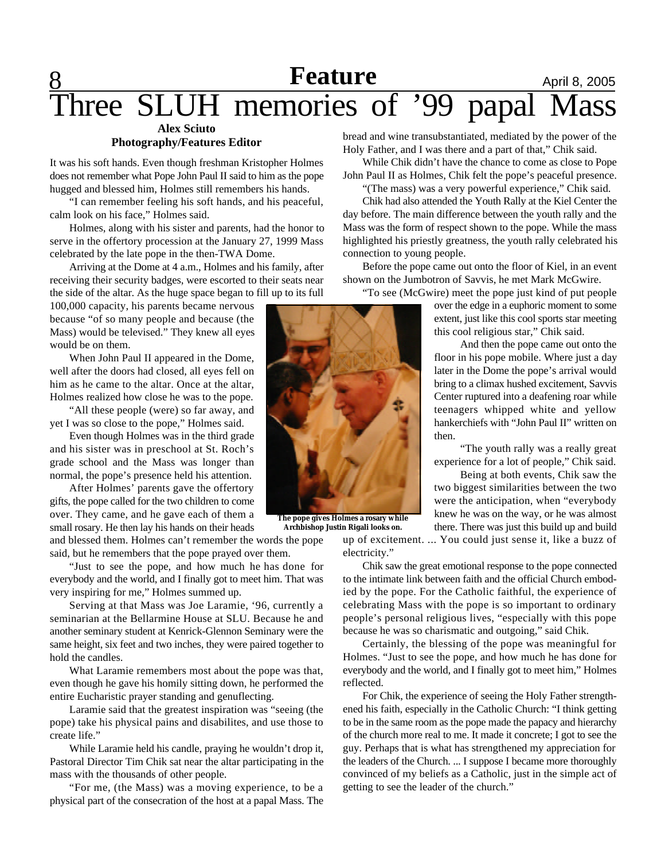### **<u>8** April 8, 2005</u> **Alex Sciuto** Three SLUH memories of '99 papal Mass

### **Photography/Features Editor**

It was his soft hands. Even though freshman Kristopher Holmes does not remember what Pope John Paul II said to him as the pope hugged and blessed him, Holmes still remembers his hands.

"I can remember feeling his soft hands, and his peaceful, calm look on his face," Holmes said.

Holmes, along with his sister and parents, had the honor to serve in the offertory procession at the January 27, 1999 Mass celebrated by the late pope in the then-TWA Dome.

Arriving at the Dome at 4 a.m., Holmes and his family, after receiving their security badges, were escorted to their seats near the side of the altar. As the huge space began to fill up to its full

100,000 capacity, his parents became nervous because "of so many people and because (the Mass) would be televised." They knew all eyes would be on them.

When John Paul II appeared in the Dome, well after the doors had closed, all eyes fell on him as he came to the altar. Once at the altar, Holmes realized how close he was to the pope.

"All these people (were) so far away, and yet I was so close to the pope," Holmes said.

Even though Holmes was in the third grade and his sister was in preschool at St. Roch's grade school and the Mass was longer than normal, the pope's presence held his attention.

After Holmes' parents gave the offertory gifts, the pope called for the two children to come over. They came, and he gave each of them a small rosary. He then lay his hands on their heads

and blessed them. Holmes can't remember the words the pope said, but he remembers that the pope prayed over them.

"Just to see the pope, and how much he has done for everybody and the world, and I finally got to meet him. That was very inspiring for me," Holmes summed up.

Serving at that Mass was Joe Laramie, '96, currently a seminarian at the Bellarmine House at SLU. Because he and another seminary student at Kenrick-Glennon Seminary were the same height, six feet and two inches, they were paired together to hold the candles.

What Laramie remembers most about the pope was that, even though he gave his homily sitting down, he performed the entire Eucharistic prayer standing and genuflecting.

Laramie said that the greatest inspiration was "seeing (the pope) take his physical pains and disabilites, and use those to create life."

While Laramie held his candle, praying he wouldn't drop it, Pastoral Director Tim Chik sat near the altar participating in the mass with the thousands of other people.

"For me, (the Mass) was a moving experience, to be a physical part of the consecration of the host at a papal Mass. The bread and wine transubstantiated, mediated by the power of the Holy Father, and I was there and a part of that," Chik said.

While Chik didn't have the chance to come as close to Pope John Paul II as Holmes, Chik felt the pope's peaceful presence. "(The mass) was a very powerful experience," Chik said.

Chik had also attended the Youth Rally at the Kiel Center the day before. The main difference between the youth rally and the Mass was the form of respect shown to the pope. While the mass highlighted his priestly greatness, the youth rally celebrated his connection to young people.

Before the pope came out onto the floor of Kiel, in an event shown on the Jumbotron of Savvis, he met Mark McGwire.

"To see (McGwire) meet the pope just kind of put people

over the edge in a euphoric moment to some extent, just like this cool sports star meeting this cool religious star," Chik said.

And then the pope came out onto the floor in his pope mobile. Where just a day later in the Dome the pope's arrival would bring to a climax hushed excitement, Savvis Center ruptured into a deafening roar while teenagers whipped white and yellow hankerchiefs with "John Paul II" written on then.

"The youth rally was a really great experience for a lot of people," Chik said.

Being at both events, Chik saw the two biggest similarities between the two were the anticipation, when "everybody knew he was on the way, or he was almost there. There was just this build up and build

up of excitement. ... You could just sense it, like a buzz of electricity."

Chik saw the great emotional response to the pope connected to the intimate link between faith and the official Church embodied by the pope. For the Catholic faithful, the experience of celebrating Mass with the pope is so important to ordinary people's personal religious lives, "especially with this pope because he was so charismatic and outgoing," said Chik.

Certainly, the blessing of the pope was meaningful for Holmes. "Just to see the pope, and how much he has done for everybody and the world, and I finally got to meet him," Holmes reflected.

For Chik, the experience of seeing the Holy Father strengthened his faith, especially in the Catholic Church: "I think getting to be in the same room as the pope made the papacy and hierarchy of the church more real to me. It made it concrete; I got to see the guy. Perhaps that is what has strengthened my appreciation for the leaders of the Church. ... I suppose I became more thoroughly convinced of my beliefs as a Catholic, just in the simple act of getting to see the leader of the church."



**The pope gives Holmes a rosary while Archbishop Justin Rigali looks on.**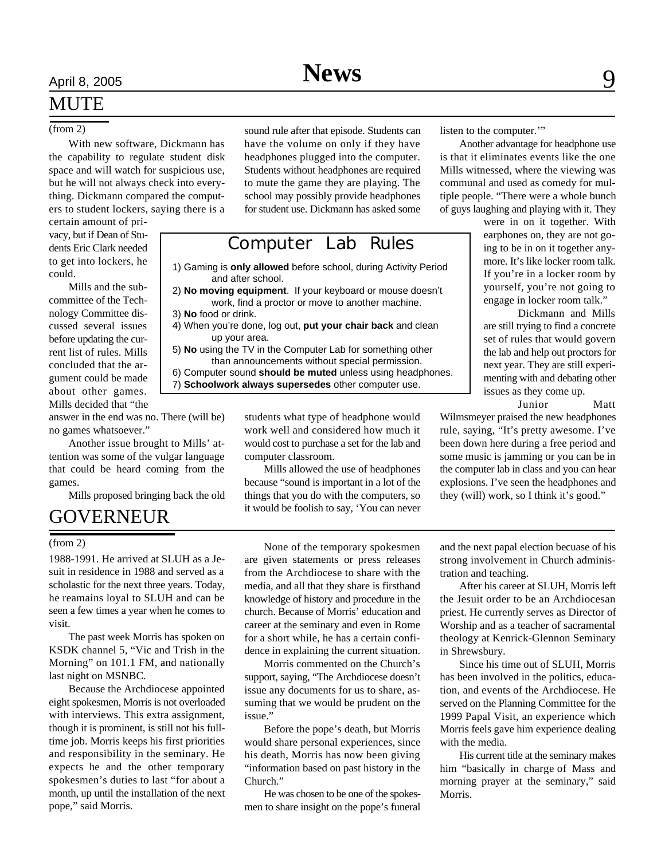With new software, Dickmann has the capability to regulate student disk space and will watch for suspicious use, but he will not always check into everything. Dickmann compared the computers to student lockers, saying there is a

certain amount of privacy, but if Dean of Students Eric Clark needed to get into lockers, he could.

Mills and the subcommittee of the Technology Committee discussed several issues before updating the current list of rules. Mills concluded that the argument could be made about other games. Mills decided that "the

answer in the end was no. There (will be) no games whatsoever."

Another issue brought to Mills' attention was some of the vulgar language that could be heard coming from the games.

Mills proposed bringing back the old

### GOVERNEUR

1988-1991. He arrived at SLUH as a Jesuit in residence in 1988 and served as a scholastic for the next three years. Today, he reamains loyal to SLUH and can be seen a few times a year when he comes to visit.

The past week Morris has spoken on KSDK channel 5, "Vic and Trish in the Morning" on 101.1 FM, and nationally last night on MSNBC.

Because the Archdiocese appointed eight spokesmen, Morris is not overloaded with interviews. This extra assignment, though it is prominent, is still not his fulltime job. Morris keeps his first priorities and responsibility in the seminary. He expects he and the other temporary spokesmen's duties to last "for about a month, up until the installation of the next pope," said Morris.

(from 2) sound rule after that episode. Students can listen to the computer.'" have the volume on only if they have headphones plugged into the computer. Students without headphones are required to mute the game they are playing. The school may possibly provide headphones for student use. Dickmann has asked some

### Computer Lab Rules

1) Gaming is **only allowed** before school, during Activity Period and after school.

- 2) **No moving equipment**. If your keyboard or mouse doesn't work, find a proctor or move to another machine.
- 3) **No** food or drink.
- 4) When you're done, log out, **put your chair back** and clean up your area.
- 5) **No** using the TV in the Computer Lab for something other than announcements without special permission.

6) Computer sound **should be muted** unless using headphones. 7) **Schoolwork always supersedes** other computer use.

> students what type of headphone would work well and considered how much it would cost to purchase a set for the lab and computer classroom.

> Mills allowed the use of headphones because "sound is important in a lot of the things that you do with the computers, so it would be foolish to say, 'You can never

Another advantage for headphone use is that it eliminates events like the one Mills witnessed, where the viewing was communal and used as comedy for multiple people. "There were a whole bunch of guys laughing and playing with it. They

> were in on it together. With earphones on, they are not going to be in on it together anymore. It's like locker room talk. If you're in a locker room by yourself, you're not going to engage in locker room talk."

Dickmann and Mills are still trying to find a concrete set of rules that would govern the lab and help out proctors for next year. They are still experimenting with and debating other issues as they come up.

Junior Matt

Wilmsmeyer praised the new headphones rule, saying, "It's pretty awesome. I've been down here during a free period and some music is jamming or you can be in the computer lab in class and you can hear explosions. I've seen the headphones and they (will) work, so I think it's good."

(from 2) None of the temporary spokesmen are given statements or press releases from the Archdiocese to share with the media, and all that they share is firsthand knowledge of history and procedure in the church. Because of Morris' education and career at the seminary and even in Rome for a short while, he has a certain confidence in explaining the current situation.

> Morris commented on the Church's support, saying, "The Archdiocese doesn't issue any documents for us to share, assuming that we would be prudent on the issue."

> Before the pope's death, but Morris would share personal experiences, since his death, Morris has now been giving "information based on past history in the Church."

He was chosen to be one of the spokesmen to share insight on the pope's funeral and the next papal election becuase of his strong involvement in Church administration and teaching.

After his career at SLUH, Morris left the Jesuit order to be an Archdiocesan priest. He currently serves as Director of Worship and as a teacher of sacramental theology at Kenrick-Glennon Seminary in Shrewsbury.

Since his time out of SLUH, Morris has been involved in the politics, education, and events of the Archdiocese. He served on the Planning Committee for the 1999 Papal Visit, an experience which Morris feels gave him experience dealing with the media.

His current title at the seminary makes him "basically in charge of Mass and morning prayer at the seminary," said Morris.

# April 8, 2005 **News** 9